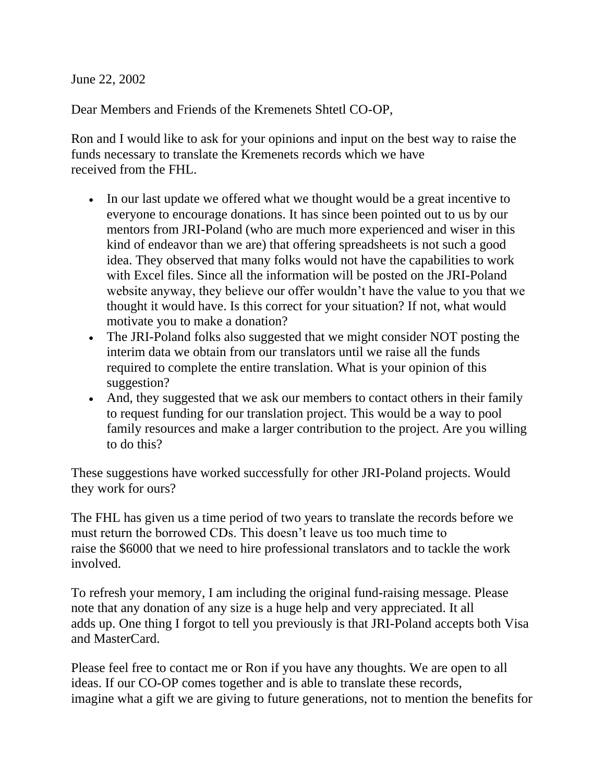June 22, 2002

Dear Members and Friends of the Kremenets Shtetl CO-OP,

Ron and I would like to ask for your opinions and input on the best way to raise the funds necessary to translate the Kremenets records which we have received from the FHL.

- In our last update we offered what we thought would be a great incentive to everyone to encourage donations. It has since been pointed out to us by our mentors from JRI-Poland (who are much more experienced and wiser in this kind of endeavor than we are) that offering spreadsheets is not such a good idea. They observed that many folks would not have the capabilities to work with Excel files. Since all the information will be posted on the JRI-Poland website anyway, they believe our offer wouldn't have the value to you that we thought it would have. Is this correct for your situation? If not, what would motivate you to make a donation?
- The JRI-Poland folks also suggested that we might consider NOT posting the interim data we obtain from our translators until we raise all the funds required to complete the entire translation. What is your opinion of this suggestion?
- And, they suggested that we ask our members to contact others in their family to request funding for our translation project. This would be a way to pool family resources and make a larger contribution to the project. Are you willing to do this?

These suggestions have worked successfully for other JRI-Poland projects. Would they work for ours?

The FHL has given us a time period of two years to translate the records before we must return the borrowed CDs. This doesn't leave us too much time to raise the \$6000 that we need to hire professional translators and to tackle the work involved.

To refresh your memory, I am including the original fund-raising message. Please note that any donation of any size is a huge help and very appreciated. It all adds up. One thing I forgot to tell you previously is that JRI-Poland accepts both Visa and MasterCard.

Please feel free to contact me or Ron if you have any thoughts. We are open to all ideas. If our CO-OP comes together and is able to translate these records, imagine what a gift we are giving to future generations, not to mention the benefits for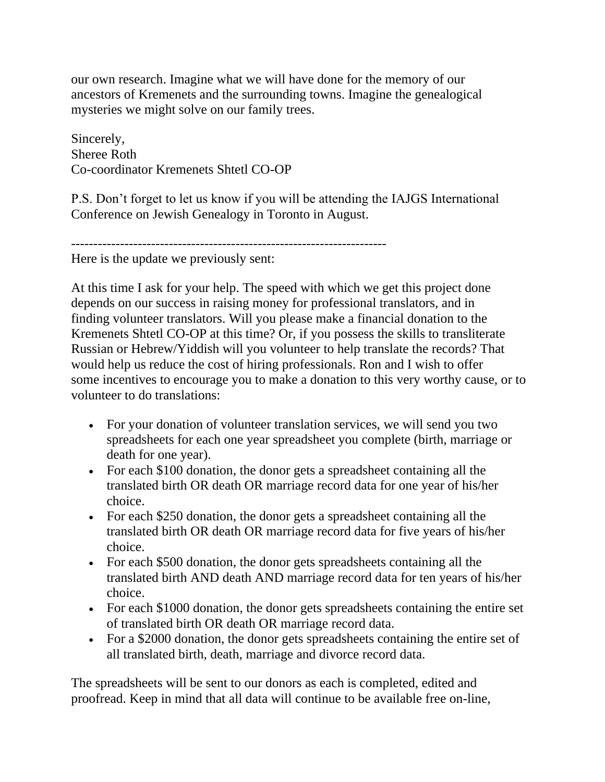our own research. Imagine what we will have done for the memory of our ancestors of Kremenets and the surrounding towns. Imagine the genealogical mysteries we might solve on our family trees.

Sincerely, Sheree Roth Co-coordinator Kremenets Shtetl CO-OP

P.S. Don't forget to let us know if you will be attending the IAJGS International Conference on Jewish Genealogy in Toronto in August.

-----------------------------------------------------------------------

Here is the update we previously sent:

At this time I ask for your help. The speed with which we get this project done depends on our success in raising money for professional translators, and in finding volunteer translators. Will you please make a financial donation to the Kremenets Shtetl CO-OP at this time? Or, if you possess the skills to transliterate Russian or Hebrew/Yiddish will you volunteer to help translate the records? That would help us reduce the cost of hiring professionals. Ron and I wish to offer some incentives to encourage you to make a donation to this very worthy cause, or to volunteer to do translations:

- For your donation of volunteer translation services, we will send you two spreadsheets for each one year spreadsheet you complete (birth, marriage or death for one year).
- For each \$100 donation, the donor gets a spreadsheet containing all the translated birth OR death OR marriage record data for one year of his/her choice.
- For each \$250 donation, the donor gets a spreadsheet containing all the translated birth OR death OR marriage record data for five years of his/her choice.
- For each \$500 donation, the donor gets spreadsheets containing all the translated birth AND death AND marriage record data for ten years of his/her choice.
- For each \$1000 donation, the donor gets spreadsheets containing the entire set of translated birth OR death OR marriage record data.
- For a \$2000 donation, the donor gets spreadsheets containing the entire set of all translated birth, death, marriage and divorce record data.

The spreadsheets will be sent to our donors as each is completed, edited and proofread. Keep in mind that all data will continue to be available free on-line,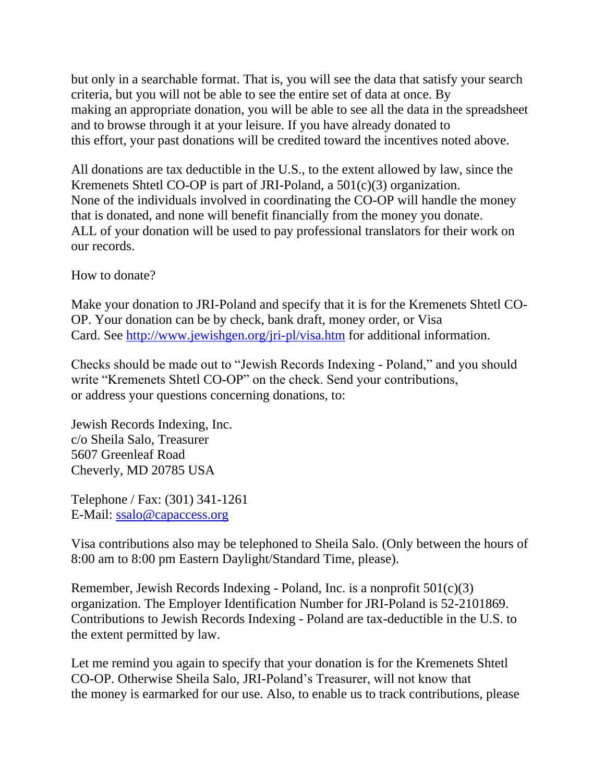but only in a searchable format. That is, you will see the data that satisfy your search criteria, but you will not be able to see the entire set of data at once. By making an appropriate donation, you will be able to see all the data in the spreadsheet and to browse through it at your leisure. If you have already donated to this effort, your past donations will be credited toward the incentives noted above.

All donations are tax deductible in the U.S., to the extent allowed by law, since the Kremenets Shtetl CO-OP is part of JRI-Poland, a 501(c)(3) organization. None of the individuals involved in coordinating the CO-OP will handle the money that is donated, and none will benefit financially from the money you donate. ALL of your donation will be used to pay professional translators for their work on our records.

How to donate?

Make your donation to JRI-Poland and specify that it is for the Kremenets Shtetl CO-OP. Your donation can be by check, bank draft, money order, or Visa Card. See <http://www.jewishgen.org/jri-pl/visa.htm> for additional information.

Checks should be made out to "Jewish Records Indexing - Poland," and you should write "Kremenets Shtetl CO-OP" on the check. Send your contributions, or address your questions concerning donations, to:

Jewish Records Indexing, Inc. c/o Sheila Salo, Treasurer 5607 Greenleaf Road Cheverly, MD 20785 USA

Telephone / Fax: (301) 341-1261 E-Mail: [ssalo@capaccess.org](mailto:ssalo@capaccess.org)

Visa contributions also may be telephoned to Sheila Salo. (Only between the hours of 8:00 am to 8:00 pm Eastern Daylight/Standard Time, please).

Remember, Jewish Records Indexing - Poland, Inc. is a nonprofit 501(c)(3) organization. The Employer Identification Number for JRI-Poland is 52-2101869. Contributions to Jewish Records Indexing - Poland are tax-deductible in the U.S. to the extent permitted by law.

Let me remind you again to specify that your donation is for the Kremenets Shtetl CO-OP. Otherwise Sheila Salo, JRI-Poland's Treasurer, will not know that the money is earmarked for our use. Also, to enable us to track contributions, please